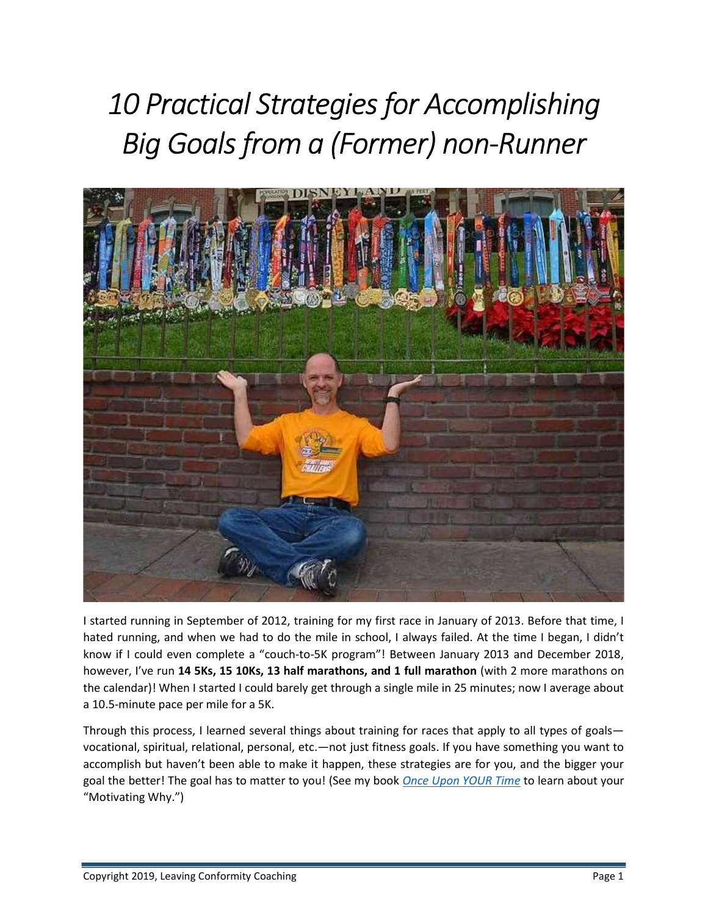# 10 Practical Strategies for Accomplishing Big Goals from a (Former) non-Runner



I started running in September of 2012, training for my first race in January of 2013. Before that time, I hated running, and when we had to do the mile in school, I always failed. At the time I began, I didn't know if I could even complete a "couch-to-5K program"! Between January 2013 and December 2018, however, I've run 14 5Ks, 15 10Ks, 13 half marathons, and 1 full marathon (with 2 more marathons on the calendar)! When I started I could barely get through a single mile in 25 minutes; now I average about a 10.5-minute pace per mile for a 5K.

Through this process, I learned several things about training for races that apply to all types of goals vocational, spiritual, relational, personal, etc.—not just fitness goals. If you have something you want to accomplish but haven't been able to make it happen, these strategies are for you, and the bigger your goal the better! The goal has to matter to you! (See my book *Once Upon YOUR Time* to learn about your "Motivating Why.")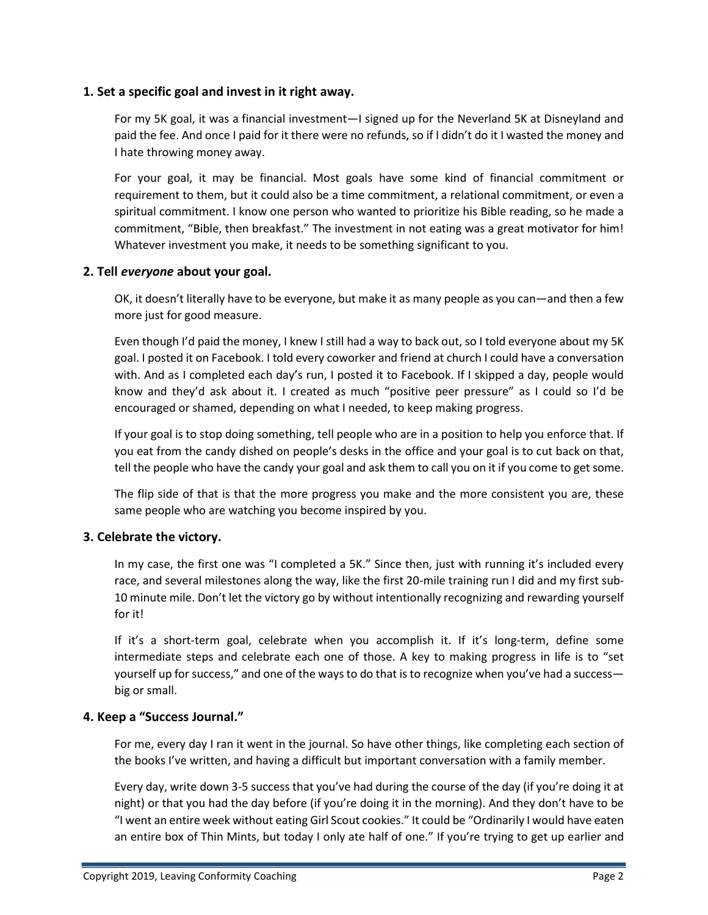## 1. Set a specific goal and invest in it right away.

For my 5K goal, it was a financial investment—I signed up for the Neverland 5K at Disneyland and paid the fee. And once I paid for it there were no refunds, so if I didn't do it I wasted the money and I hate throwing money away.

For your goal, it may be financial. Most goals have some kind of financial commitment or requirement to them, but it could also be a time commitment, a relational commitment, or even a spiritual commitment. I know one person who wanted to prioritize his Bible reading, so he made a commitment, "Bible, then breakfast." The investment in not eating was a great motivator for him! Whatever investment you make, it needs to be something significant to you.

### 2. Tell everyone about your goal.

OK, it doesn't literally have to be everyone, but make it as many people as you can—and then a few more just for good measure.

Even though I'd paid the money, I knew I still had a way to back out, so I told everyone about my 5K goal. I posted it on Facebook. I told every coworker and friend at church I could have a conversation with. And as I completed each day's run, I posted it to Facebook. If I skipped a day, people would know and they'd ask about it. I created as much "positive peer pressure" as I could so I'd be encouraged or shamed, depending on what I needed, to keep making progress.

If your goal is to stop doing something, tell people who are in a position to help you enforce that. If you eat from the candy dished on people's desks in the office and your goal is to cut back on that, tell the people who have the candy your goal and ask them to call you on it if you come to get some.

The flip side of that is that the more progress you make and the more consistent you are, these same people who are watching you become inspired by you.

## 3. Celebrate the victory.

In my case, the first one was "I completed a 5K." Since then, just with running it's included every race, and several milestones along the way, like the first 20-mile training run I did and my first sub-10 minute mile. Don't let the victory go by without intentionally recognizing and rewarding yourself for it!

If it's a short-term goal, celebrate when you accomplish it. If it's long-term, define some intermediate steps and celebrate each one of those. A key to making progress in life is to "set yourself up for success," and one of the ways to do that is to recognize when you've had a success big or small.

## 4. Keep a "Success Journal."

For me, every day I ran it went in the journal. So have other things, like completing each section of the books I've written, and having a difficult but important conversation with a family member.

Every day, write down 3-5 success that you've had during the course of the day (if you're doing it at night) or that you had the day before (if you're doing it in the morning). And they don't have to be "I went an entire week without eating Girl Scout cookies." It could be "Ordinarily I would have eaten an entire box of Thin Mints, but today I only ate half of one." If you're trying to get up earlier and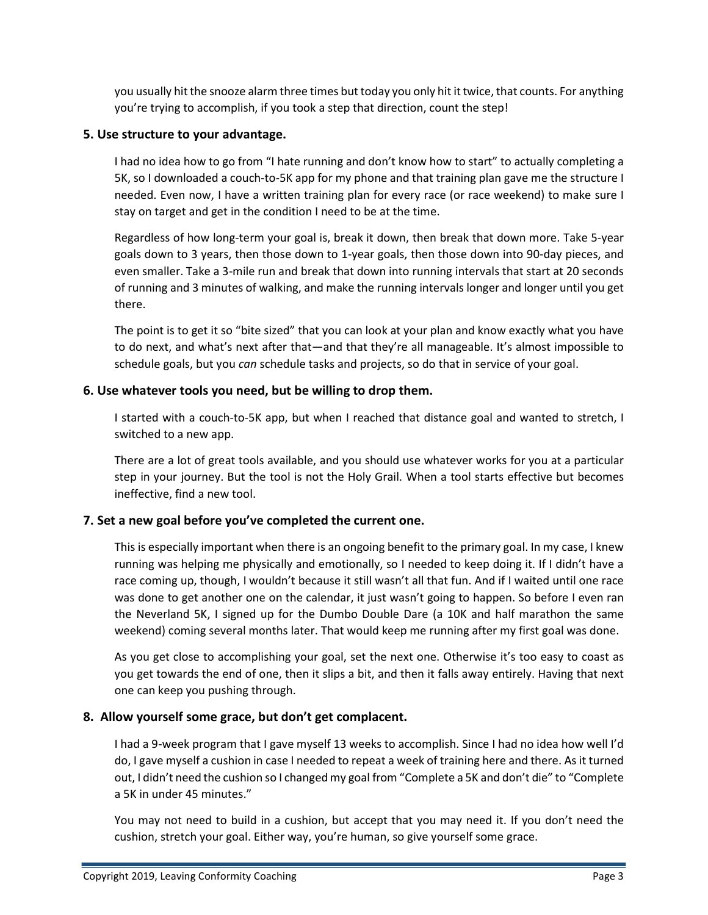you usually hit the snooze alarm three times but today you only hit it twice, that counts. For anything you're trying to accomplish, if you took a step that direction, count the step!

## 5. Use structure to your advantage.

I had no idea how to go from "I hate running and don't know how to start" to actually completing a 5K, so I downloaded a couch-to-5K app for my phone and that training plan gave me the structure I needed. Even now, I have a written training plan for every race (or race weekend) to make sure I stay on target and get in the condition I need to be at the time.

Regardless of how long-term your goal is, break it down, then break that down more. Take 5-year goals down to 3 years, then those down to 1-year goals, then those down into 90-day pieces, and even smaller. Take a 3-mile run and break that down into running intervals that start at 20 seconds of running and 3 minutes of walking, and make the running intervals longer and longer until you get there.

The point is to get it so "bite sized" that you can look at your plan and know exactly what you have to do next, and what's next after that—and that they're all manageable. It's almost impossible to schedule goals, but you can schedule tasks and projects, so do that in service of your goal.

## 6. Use whatever tools you need, but be willing to drop them.

I started with a couch-to-5K app, but when I reached that distance goal and wanted to stretch, I switched to a new app.

There are a lot of great tools available, and you should use whatever works for you at a particular step in your journey. But the tool is not the Holy Grail. When a tool starts effective but becomes ineffective, find a new tool.

# 7. Set a new goal before you've completed the current one.

This is especially important when there is an ongoing benefit to the primary goal. In my case, I knew running was helping me physically and emotionally, so I needed to keep doing it. If I didn't have a race coming up, though, I wouldn't because it still wasn't all that fun. And if I waited until one race was done to get another one on the calendar, it just wasn't going to happen. So before I even ran the Neverland 5K, I signed up for the Dumbo Double Dare (a 10K and half marathon the same weekend) coming several months later. That would keep me running after my first goal was done.

As you get close to accomplishing your goal, set the next one. Otherwise it's too easy to coast as you get towards the end of one, then it slips a bit, and then it falls away entirely. Having that next one can keep you pushing through.

# 8. Allow yourself some grace, but don't get complacent.

I had a 9-week program that I gave myself 13 weeks to accomplish. Since I had no idea how well I'd do, I gave myself a cushion in case I needed to repeat a week of training here and there. As it turned out, I didn't need the cushion so I changed my goal from "Complete a 5K and don't die" to "Complete a 5K in under 45 minutes."

You may not need to build in a cushion, but accept that you may need it. If you don't need the cushion, stretch your goal. Either way, you're human, so give yourself some grace.